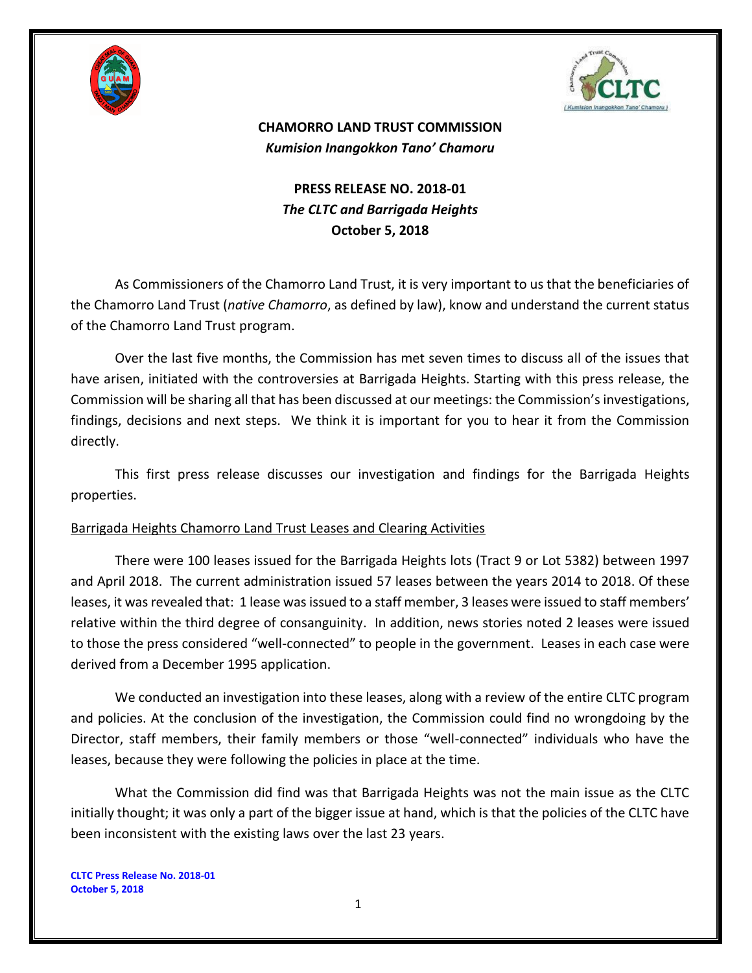



## **CHAMORRO LAND TRUST COMMISSION** *Kumision Inangokkon Tano' Chamoru*

## **PRESS RELEASE NO. 2018-01** *The CLTC and Barrigada Heights* **October 5, 2018**

As Commissioners of the Chamorro Land Trust, it is very important to us that the beneficiaries of the Chamorro Land Trust (*native Chamorro*, as defined by law), know and understand the current status of the Chamorro Land Trust program.

Over the last five months, the Commission has met seven times to discuss all of the issues that have arisen, initiated with the controversies at Barrigada Heights. Starting with this press release, the Commission will be sharing all that has been discussed at our meetings: the Commission's investigations, findings, decisions and next steps. We think it is important for you to hear it from the Commission directly.

This first press release discusses our investigation and findings for the Barrigada Heights properties.

## Barrigada Heights Chamorro Land Trust Leases and Clearing Activities

There were 100 leases issued for the Barrigada Heights lots (Tract 9 or Lot 5382) between 1997 and April 2018. The current administration issued 57 leases between the years 2014 to 2018. Of these leases, it was revealed that: 1 lease wasissued to a staff member, 3 leases were issued to staff members' relative within the third degree of consanguinity. In addition, news stories noted 2 leases were issued to those the press considered "well-connected" to people in the government. Leases in each case were derived from a December 1995 application.

We conducted an investigation into these leases, along with a review of the entire CLTC program and policies. At the conclusion of the investigation, the Commission could find no wrongdoing by the Director, staff members, their family members or those "well-connected" individuals who have the leases, because they were following the policies in place at the time.

What the Commission did find was that Barrigada Heights was not the main issue as the CLTC initially thought; it was only a part of the bigger issue at hand, which is that the policies of the CLTC have been inconsistent with the existing laws over the last 23 years.